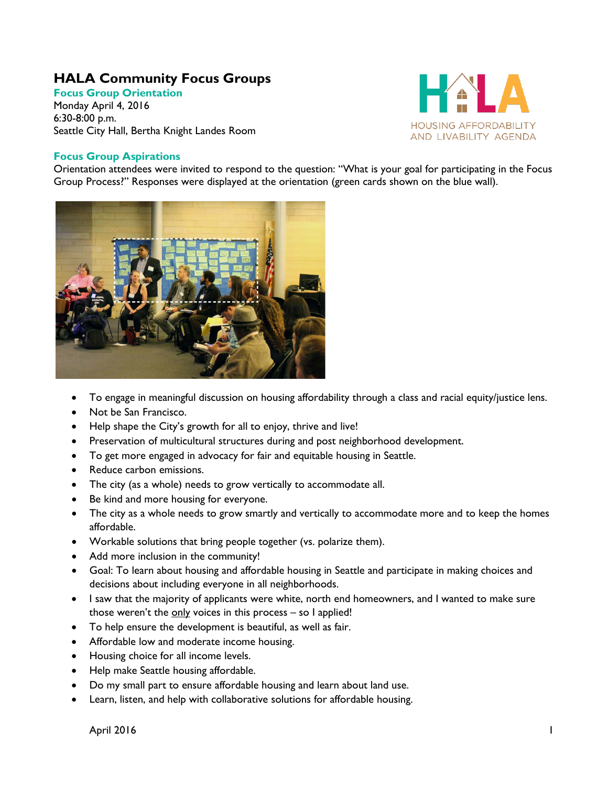## **HALA Community Focus Groups**

**Focus Group Orientation** Monday April 4, 2016 6:30-8:00 p.m. Seattle City Hall, Bertha Knight Landes Room



## **Focus Group Aspirations**

Orientation attendees were invited to respond to the question: "What is your goal for participating in the Focus Group Process?" Responses were displayed at the orientation (green cards shown on the blue wall).



- To engage in meaningful discussion on housing affordability through a class and racial equity/justice lens.
- Not be San Francisco.
- Help shape the City's growth for all to enjoy, thrive and live!
- Preservation of multicultural structures during and post neighborhood development.
- To get more engaged in advocacy for fair and equitable housing in Seattle.
- Reduce carbon emissions.
- The city (as a whole) needs to grow vertically to accommodate all.
- Be kind and more housing for everyone.
- The city as a whole needs to grow smartly and vertically to accommodate more and to keep the homes affordable.
- Workable solutions that bring people together (vs. polarize them).
- Add more inclusion in the community!
- Goal: To learn about housing and affordable housing in Seattle and participate in making choices and decisions about including everyone in all neighborhoods.
- I saw that the majority of applicants were white, north end homeowners, and I wanted to make sure those weren't the  $_{\text{only}}$  voices in this process  $-$  so I applied!
- To help ensure the development is beautiful, as well as fair.
- Affordable low and moderate income housing.
- Housing choice for all income levels.
- Help make Seattle housing affordable.
- Do my small part to ensure affordable housing and learn about land use.
- Learn, listen, and help with collaborative solutions for affordable housing.